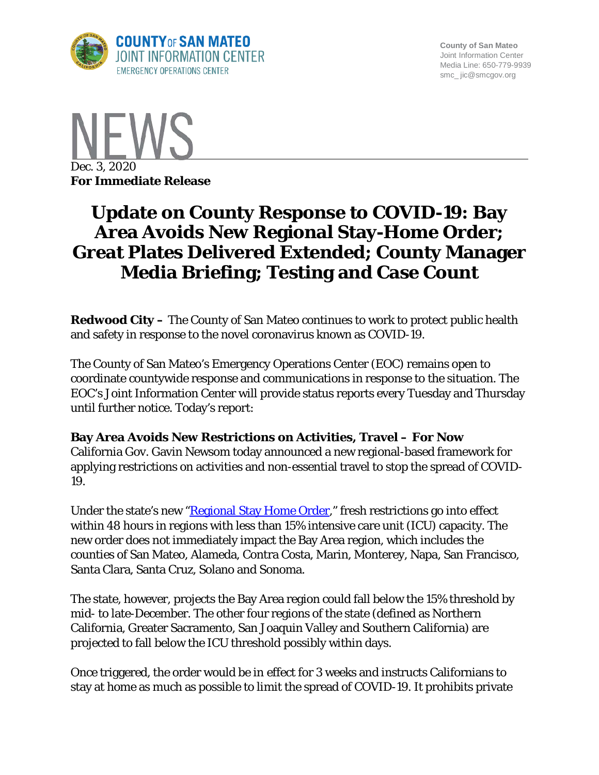

**County of San Mateo** Joint Information Center Media Line: 650-779-9939 smc\_ jic@smcgov.org



# **Update on County Response to COVID-19: Bay Area Avoids New Regional Stay-Home Order; Great Plates Delivered Extended; County Manager Media Briefing; Testing and Case Count**

**Redwood City –** The County of San Mateo continues to work to protect public health and safety in response to the novel coronavirus known as COVID-19.

The County of San Mateo's Emergency Operations Center (EOC) remains open to coordinate countywide response and communications in response to the situation. The EOC's Joint Information Center will provide status reports every Tuesday and Thursday until further notice. Today's report:

#### **Bay Area Avoids New Restrictions on Activities, Travel – For Now**

California Gov. Gavin Newsom today announced a new regional-based framework for applying restrictions on activities and non-essential travel to stop the spread of COVID-19.

Under the state's new ["Regional Stay Home Order,](https://covid19.ca.gov/stay-home-except-for-essential-needs/#regional)" fresh restrictions go into effect within 48 hours in regions with less than 15% intensive care unit (ICU) capacity. The new order does not immediately impact the Bay Area region, which includes the counties of San Mateo, Alameda, Contra Costa, Marin, Monterey, Napa, San Francisco, Santa Clara, Santa Cruz, Solano and Sonoma.

The state, however, projects the Bay Area region could fall below the 15% threshold by mid- to late-December. The other four regions of the state (defined as Northern California, Greater Sacramento, San Joaquin Valley and Southern California) are projected to fall below the ICU threshold possibly within days.

Once triggered, the order would be in effect for 3 weeks and instructs Californians to stay at home as much as possible to limit the spread of COVID-19. It prohibits private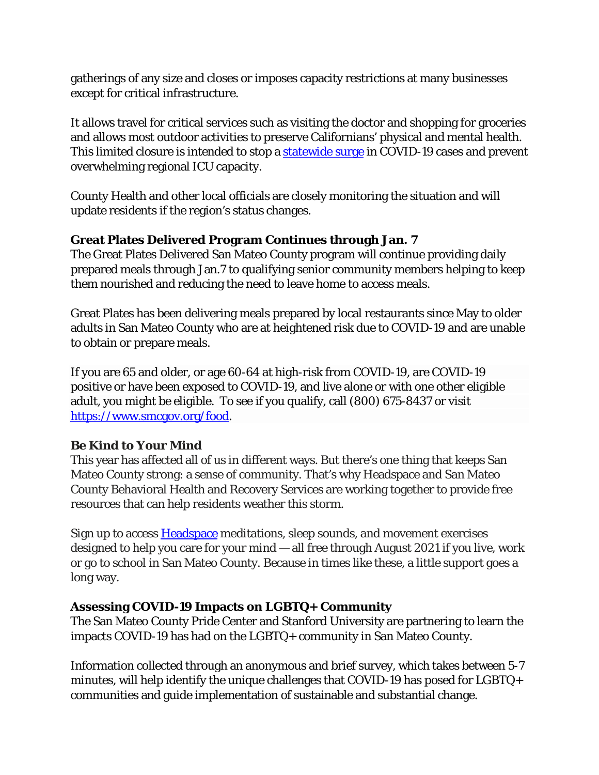gatherings of any size and closes or imposes capacity restrictions at many businesses except for critical infrastructure.

It allows travel for critical services such as visiting the doctor and shopping for groceries and allows most outdoor activities to preserve Californians' physical and mental health. This limited closure is intended to stop a [statewide surge](https://covid19.ca.gov/state-dashboard/) in COVID-19 cases and prevent overwhelming regional ICU capacity.

County Health and other local officials are closely monitoring the situation and will update residents if the region's status changes.

#### **Great Plates Delivered Program Continues through Jan. 7**

The Great Plates Delivered San Mateo County program will continue providing daily prepared meals through Jan.7 to qualifying senior community members helping to keep them nourished and reducing the need to leave home to access meals.

Great Plates has been delivering meals prepared by local restaurants since May to older adults in San Mateo County who are at heightened risk due to COVID-19 and are unable to obtain or prepare meals.

If you are 65 and older, or age 60-64 at high-risk from COVID-19, are COVID-19 positive or have been exposed to COVID-19, and live alone or with one other eligible adult, you might be eligible. To see if you qualify, call (800) 675-8437 or visit [https://www.smcgov.org/food.](https://www.smcgov.org/food)

# **Be Kind to Your Mind**

This year has affected all of us in different ways. But there's one thing that keeps San Mateo County strong: a sense of community. That's why Headspace and San Mateo County Behavioral Health and Recovery Services are working together to provide free resources that can help residents weather this storm.

Sign up to access [Headspace](https://www.headspace.com/san-mateo-county) meditations, sleep sounds, and movement exercises designed to help you care for your mind — all free through August 2021 if you live, work or go to school in San Mateo County. Because in times like these, a little support goes a long way.

# **Assessing COVID-19 Impacts on LGBTQ+ Community**

The San Mateo County Pride Center and Stanford University are partnering to learn the impacts COVID-19 has had on the LGBTQ+ community in San Mateo County.

Information collected through an anonymous and brief survey, which takes between 5-7 minutes, will help identify the unique challenges that COVID-19 has posed for LGBTQ+ communities and guide implementation of sustainable and substantial change.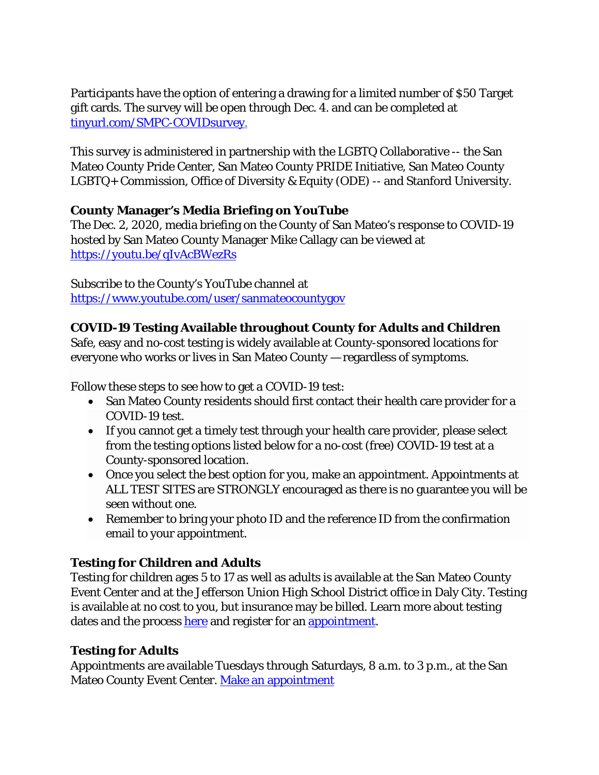Participants have the option of entering a drawing for a limited number of \$50 Target gift cards. The survey will be open through Dec. 4. and can be completed at [tinyurl.com/SMPC-COVIDsurvey.](https://protect-us.mimecast.com/s/z1fsCjRg0QIk5rRjuWsTqz)

This survey is administered in partnership with the LGBTQ Collaborative -- the San Mateo County Pride Center, San Mateo County PRIDE Initiative, San Mateo County LGBTQ+ Commission, Office of Diversity & Equity (ODE) -- and Stanford University.

#### **County Manager's Media Briefing on YouTube**

The Dec. 2, 2020, media briefing on the County of San Mateo's response to COVID-19 hosted by San Mateo County Manager Mike Callagy can be viewed at <https://youtu.be/qIvAcBWezRs>

Subscribe to the County's YouTube channel at <https://www.youtube.com/user/sanmateocountygov>

#### **COVID-19 Testing Available throughout County for Adults and Children**

Safe, easy and no-cost testing is widely available at County-sponsored locations for everyone who works or lives in San Mateo County — regardless of symptoms.

Follow these steps to see how to get a COVID-19 test:

- San Mateo County residents should first contact their health care provider for a COVID-19 test.
- If you cannot get a timely test through your health care provider, please select from the testing options listed below for a no-cost (free) COVID-19 test at a County-sponsored location.
- Once you select the best option for you, make an appointment. Appointments at ALL TEST SITES are STRONGLY encouraged as there is no guarantee you will be seen without one.
- Remember to bring your photo ID and the reference ID from the confirmation email to your appointment.

# **Testing for Children and Adults**

Testing for children ages 5 to 17 as well as adults is available at the San Mateo County Event Center and at the Jefferson Union High School District office in Daly City. Testing is available at no cost to you, but insurance may be billed. Learn more about testing dates and the process [here](https://www.smcgov.org/covid-19-testing-options-children) and register for an [appointment.](https://curative.com/sites#9/34.05/-118.25)

# **Testing for Adults**

Appointments are available Tuesdays through Saturdays, 8 a.m. to 3 p.m., at the San Mateo County Event Center. [Make an appointment](https://www.projectbaseline.com/study/covid-19/?utm_source=smcc&utm_medium=covid-19&utm_campaign=website)